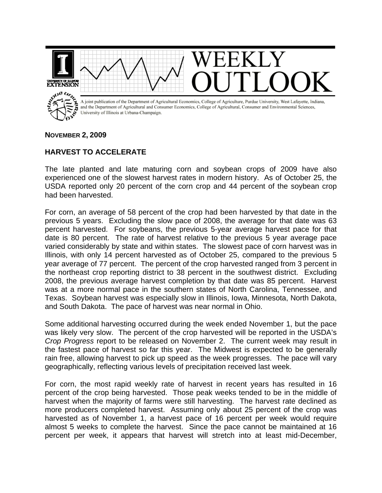

## **NOVEMBER 2, 2009**

## **HARVEST TO ACCELERATE**

The late planted and late maturing corn and soybean crops of 2009 have also experienced one of the slowest harvest rates in modern history. As of October 25, the USDA reported only 20 percent of the corn crop and 44 percent of the soybean crop had been harvested.

For corn, an average of 58 percent of the crop had been harvested by that date in the previous 5 years. Excluding the slow pace of 2008, the average for that date was 63 percent harvested. For soybeans, the previous 5-year average harvest pace for that date is 80 percent. The rate of harvest relative to the previous 5 year average pace varied considerably by state and within states. The slowest pace of corn harvest was in Illinois, with only 14 percent harvested as of October 25, compared to the previous 5 year average of 77 percent. The percent of the crop harvested ranged from 3 percent in the northeast crop reporting district to 38 percent in the southwest district. Excluding 2008, the previous average harvest completion by that date was 85 percent. Harvest was at a more normal pace in the southern states of North Carolina, Tennessee, and Texas. Soybean harvest was especially slow in Illinois, Iowa, Minnesota, North Dakota, and South Dakota. The pace of harvest was near normal in Ohio.

Some additional harvesting occurred during the week ended November 1, but the pace was likely very slow. The percent of the crop harvested will be reported in the USDA's *Crop Progress* report to be released on November 2. The current week may result in the fastest pace of harvest so far this year. The Midwest is expected to be generally rain free, allowing harvest to pick up speed as the week progresses. The pace will vary geographically, reflecting various levels of precipitation received last week.

For corn, the most rapid weekly rate of harvest in recent years has resulted in 16 percent of the crop being harvested. Those peak weeks tended to be in the middle of harvest when the majority of farms were still harvesting. The harvest rate declined as more producers completed harvest. Assuming only about 25 percent of the crop was harvested as of November 1, a harvest pace of 16 percent per week would require almost 5 weeks to complete the harvest. Since the pace cannot be maintained at 16 percent per week, it appears that harvest will stretch into at least mid-December,